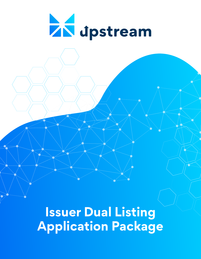

**Issuer Dual Listing Application Package**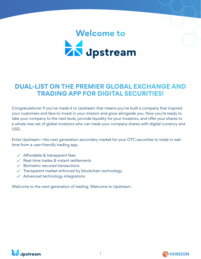# **Welcome to<br>
AN** dpstream

# **DUAL-LIST ON THE PREMIER GLOBAL EXCHANGE AND TRADING APP FOR DIGITAL SECURITIES!**

Congratulations! If you've made it to Upstream that means you've built a company that inspired your customers and fans to invest in your mission and grow alongside you. Now you're ready to take your company to the next level, provide liquidity for your investors, and offer your shares to a whole new set of global investors who can trade your company shares with digital currency and USD.

Enter Upstream—the next generation secondary market for your OTC securities to trade in realtime from a user-friendly trading app.

- $\vee$  Affordable & transparent fees
- ✓ Real-time trades & instant settlements
- ✓ Biometric-secured transactions
- ✓ Transparent market enforced by blockchain technology
- ✓ Advanced technology integrations

Welcome to the next generation of trading. Welcome to Upstream.



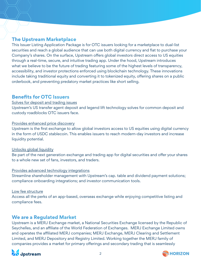# **The Upstream Marketplace**

This Issuer Listing Application Package is for OTC issuers looking for a marketplace to dual-list securities and reach a global audience that can use both digital currency and fiat to purchase your Company's shares. On the surface, Upstream offers global investors direct access to US equities through a real-time, secure, and intuitive trading app. Under the hood, Upstream introduces what we believe to be the future of trading featuring some of the highest levels of transparency, accessibility, and investor protections enforced using blockchain technology. These innovations include taking traditional equity and converting it to tokenized equity, offering shares on a public orderbook, and preventing predatory market practices like short selling.

## **Benefits for OTC Issuers**

#### Solves for deposit and trading issues

Upstream's US transfer agent deposit and legend lift technology solves for common deposit and custody roadblocks OTC issuers face.

#### Provides enhanced price discovery

Upstream is the first exchange to allow global investors access to US equities using digital currency in the form of USDC stablecoin. This enables issuers to reach modern-day investors and increase liquidity potential.

#### Unlocks global liquidity

Be part of the next generation exchange and trading app for digital securities and offer your shares to a whole new set of fans, investors, and traders.

#### Provides advanced technology integrations

Streamline shareholder management with Upstream's cap. table and dividend payment solutions; compliance onboarding integrations; and investor communication tools.

#### Low fee structure

Access all the perks of an app-based, overseas exchange while enjoying competitive listing and compliance fees.

# **We are a Regulated Market**

Upstream is a MERJ Exchange market, a National Securities Exchange licensed by the Republic of Seychelles, and an affiliate of the World Federation of Exchanges. MERJ Exchange Limited owns and operates the affiliated MERJ companies; MERJ Exchange, MERJ Clearing and Settlement Limited, and MERJ Depository and Registry Limited. Working together the MERJ family of companies provides a market for primary offerings and secondary trading that is seamlessly



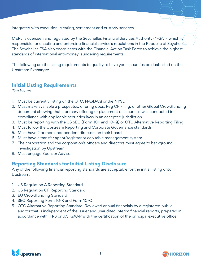integrated with execution, clearing, settlement and custody services.

MERJ is overseen and regulated by the Seychelles Financial Services Authority ("FSA"), which is responsible for enacting and enforcing financial service's regulations in the Republic of Seychelles. The Seychelles FSA also coordinates with the Financial Action Task Force to achieve the highest standards of international anti-money laundering requirements.

The following are the listing requirements to qualify to have your securities be dual-listed on the Upstream Exchange:

# **Initial Listing Requirements**

The issuer:

- 1. Must be currently listing on the OTC, NASDAQ or the NYSE
- 2. Must make available a prospectus, offering docs, Reg CF Filing, or other Global Crowdfunding document showing that a primary offering or placement of securities was conducted in compliance with applicable securities laws in an accepted jurisdiction
- 3. Must be reporting with the US SEC (Form 10K and 10-Q) or OTC Alternative Reporting Filing
- 4. Must follow the Upstream Reporting and Corporate Governance standards
- 5. Must have 2 or more independent directors on their board
- 6. Must have a transfer agent/registrar or cap table management system
- 7. The corporation and the corporation's officers and directors must agree to background investigation by Upstream
- 8. Must engage Sponsor Advisor

# **Reporting Standards for Initial Listing Disclosure**

Any of the following financial reporting standards are acceptable for the initial listing onto Upstream:

- 1. US Regulation A Reporting Standard
- 2. US Regulation CF Reporting Standard
- 3. EU Crowdfunding Standard
- 4. SEC Reporting Form 10-K and Form 10-Q
- 5. OTC Alternative Reporting Standard: Reviewed annual financials by a registered public auditor that is independent of the issuer and unaudited interim financial reports, prepared in accordance with IFRS or U.S. GAAP with the certification of the principal executive officer



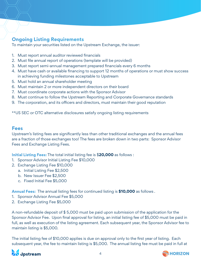# **Ongoing Listing Requirements**

To maintain your securities listed on the Upstream Exchange, the issuer:

- 1. Must report annual auditor reviewed financials
- 2. Must file annual report of operations (template will be provided)
- 3. Must report semi-annual management prepared financials every 6 months
- 4. Must have cash or available financing to support 12 months of operations or must show success in achieving funding milestones acceptable to Upstream
- 5. Must hold an annual shareholder meeting
- 6. Must maintain 2 or more independent directors on their board
- 7. Must coordinate corporate actions with the Sponsor Advisor
- 8. Must continue to follow the Upstream Reporting and Corporate Governance standards
- 9. The corporation, and its officers and directors, must maintain their good reputation

\*\*US SEC or OTC alternative disclosures satisfy ongoing listing requirements

## **Fees**

Upstream's listing fees are significantly less than other traditional exchanges and the annual fees are a fraction of those exchanges too! The fees are broken down in two parts: Sponsor Advisor Fees and Exchange Listing Fees.

**Initial Listing Fees:** The total initial listing fee is \$**20,000** as follows :

- 1. Sponsor Advisor Initial Listing Fee \$10,000
- 2. Exchange Listing Fee \$10,000
	- a. Initial Listing Fee \$2,500
		- b. New Issuer Fee \$2,500
		- c. Fixed Initial Fee \$5,000

**Annual Fees:** The annual listing fees for continued listing is **\$10,000** as follows .

- 1. Sponsor Advisor Annual Fee \$5,000
- 2. Exchange Listing Fee \$5,000

A non-refundable deposit of \$ 5,000 must be paid upon submission of the application for the Sponsor Advisor Fee. Upon final approval for listing, an initial listing fee of \$5,000 must be paid in full, as well as execution of the listing agreement. Each subsequent year, the Sponsor Advisor fee to maintain listing is \$5,000.

The initial listing fee of \$10,000 applies is due on approval only to the first year of listing. Each subsequent year, the fee to maintain listing is \$5,000. The annual listing fee must be paid in full at



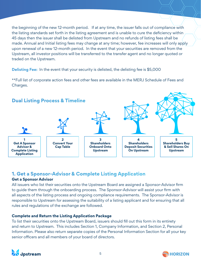the beginning of the new 12-month period. If at any time, the issuer falls out of compliance with the listing standards set forth in the listing agreement and is unable to cure the deficiency within 45 days then the issuer shall be delisted from Upstream and no refunds of listing fees shall be made. Annual and Initial listing fees may change at any time; however, fee increases will only apply upon renewal of a new 12-month period. In the event that your securities are removed from the Upstream, all investor positions will be transferred to the transfer agent and no longer quoted or traded on the Upstream.

**Delisting Fee:** In the event that your security is delisted, the delisting fee is \$5,000

\*\*Full list of corporate action fees and other fees are available in the MERJ Schedule of Fees and Charges.



# **1. Get a Sponsor-Advisor & Complete Listing Application**

#### **Get a Sponsor Advisor**

All issuers who list their securities onto the Upstream Board are assigned a Sponsor-Advisor firm to guide them through the onboarding process. The Sponsor-Advisor will assist your firm with all aspects of the listing process and ongoing compliance requirements. The Sponsor-Advisor is responsible to Upstream for assessing the suitability of a listing applicant and for ensuring that all rules and regulations of the exchange are followed.

#### **Complete and Return the Listing Application Package**

To list their securities onto the Upstream Board, issuers should fill out this form in its entirety and return to Upstream. This includes Section 1, Company Information, and Section 2, Personal Information. Please also return separate copies of the Personal Information Section for all your key senior officers and all members of your board of directors.



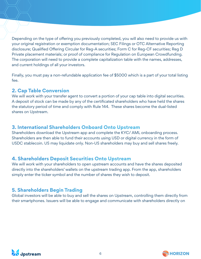Depending on the type of offering you previously completed, you will also need to provide us with your original registration or exemption documentation; SEC Filings or OTC Alternative Reporting disclosure; Qualified Offering Circular for Reg-A securities; Form C for Reg-CF securities; Reg D Private placement materials; or proof of compliance for Regulation on European Crowdfunding. The corporation will need to provide a complete capitalization table with the names, addresses, and current holdings of all your investors.

Finally, you must pay a non-refundable application fee of \$5000 which is a part of your total listing fee.

# **2. Cap Table Conversion**

We will work with your transfer agent to convert a portion of your cap table into digital securities. A deposit of stock can be made by any of the certificated shareholders who have held the shares the statutory period of time and comply with Rule 144. These shares become the dual-listed shares on Upstream.

# **3. International Shareholders Onboard Onto Upstream**

Shareholders download the Upstream app and complete the KYC/ AML onboarding process. Shareholders are then able to fund their accounts using USD or digital currency in the form of USDC stablecoin. US may liquidate only. Non-US shareholders may buy and sell shares freely.

# **4. Shareholders Deposit Securities Onto Upstream**

We will work with your shareholders to open upstream accounts and have the shares deposited directly into the shareholders' wallets on the upstream trading app. From the app, shareholders simply enter the ticker symbol and the number of shares they wish to deposit.

# **5. Shareholders Begin Trading**

Global investors will be able to buy and sell the shares on Upstream, controlling them directly from their smartphones. Issuers will be able to engage and communicate with shareholders directly on



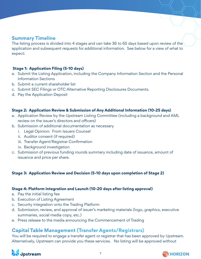## **Summary Timeline**

The listing process is divided into 4 stages and can take 36 to 65 days based upon review of the application and subsequent requests for additional information. See below for a view of what to expect:

#### **Stage 1: Application Filing (5-10 days)**

- a. Submit the Listing Application, including the Company Information Section and the Personal Information Sections
- b. Submit a current shareholder list
- c. Submit SEC Filings or OTC Alternative Reporting Disclosures Documents.
- d. Pay the Application Deposit

#### **Stage 2: Application Review & Submission of Any Additional Information (10-25 days)**

- a. Application Review by the Upstream Listing Committee (including a background and AML review on the issuer's directors and officers)
- b. Submission of additional documentation as necessary
	- i. Legal Opinion: From Issuers Counsel
	- ii. Auditor consent (if required)
	- iii. Transfer Agent/Registrar Confirmation
	- iv. Background investigation
- c. Submission of previous funding rounds summary including date of issuance, amount of issuance and price per share.

#### **Stage 3: Application Review and Decision (5-10 days upon completion of Stage 2)**

#### **Stage 4: Platform Integration and Launch (10-20 days after listing approval)**

- a. Pay the initial listing fee
- b. Execution of Listing Agreement
- c. Security integration onto the Trading Platform
- d. Submission, review, and approval of issuer's marketing materials (logo, graphics, executive summaries, social media copy, etc.)
- e. Press release to the media announcing the Commencement of Trading

# **Capital Table Management (Transfer Agents/Registrars)**

You will be required to engage a transfer agent or registrar that has been approved by Upstream. Alternatively, Upstream can provide you these services. No listing will be approved without



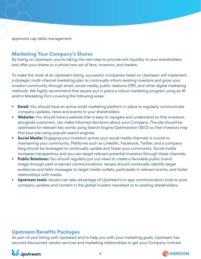approved cap table management.

## **Marketing Your Company's Shares**

By listing on Upstream, you're taking the next step to provide exit-liquidity to your shareholders and offer your shares to a whole new set of fans, investors, and traders.

To make the most of an Upstream listing, successful companies listed on Upstream will implement a strategic multi-channel marketing plan to continually inform existing investors and grow your investor community through email, social media, public relations (PR), and other digital marketing methods. We highly recommend that issuers put in place a robust marketing program using an IR and/or Marketing Firm covering the following areas:

- **• Email:** You should have an active email marketing platform in place to regularly communicate company updates, news and events to your shareholders.
- **• Website:** You should have a website that is easy to navigate and understand so that investors, alongside customers, can make informed decisions about your Company. The site should be optimized for relevant key words using Search Engine Optimization (SEO) so that investors may find your site using popular search engines.
- **• Social Media:** Engaging your investors across your social media channels is crucial to maintaining your community. Platforms such as LinkedIn, Facebook, Twitter, and a company blog should be leveraged to continually update and foster your community. Social media increases transparency and you can target relevant potential investors through these channels.
- **• Public Relations:** You should regularly put out news to create a favorable public brand image through paid or earned communications. Issuers should continually identify target audiences and tailor messages to target media outlets; participate in relevant events, and foster relationships with media.
- **• Upstream tools:** Issuers can take advantage of Upstream's in-app communication tools to post company updates and content in the global investor newsfeed or to existing shareholders.

#### **Upstream Benefits Packages**

As part of your listing with Upstream and to help you with your marketing goals, Upstream has secured discounted vendor services and marketing relationships to get your Company noticed.



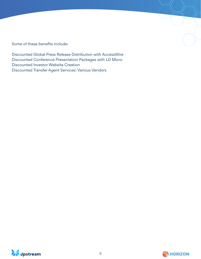Some of these benefits include:

Discounted Global Press Release Distribution with AccessWire Discounted Conference Presentation Packages with LD Micro Discounted Investor Website Creation Discounted Transfer Agent Services: Various Vendors



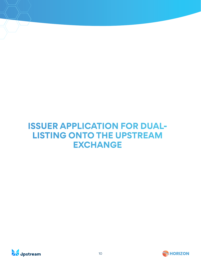# **ISSUER APPLICATION FOR DUAL-LISTING ONTO THE UPSTREAM EXCHANGE**



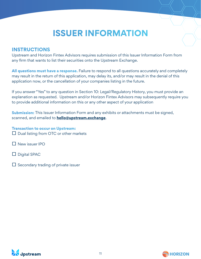# **ISSUER INFORMATION**

## **INSTRUCTIONS**

Upstream and Horizon Fintex Advisors requires submission of this Issuer Information Form from any firm that wants to list their securities onto the Upstream Exchange.

**All questions must have a response.** Failure to respond to all questions accurately and completely may result in the return of this application, may delay its, and/or may result in the denial of this application now, or the cancellation of your companies listing in the future.

If you answer "Yes" to any question in Section 10: Legal/Regulatory History, you must provide an explanation as requested. Upstream and/or Horizon Fintex Advisors may subsequently require you to provide additional information on this or any other aspect of your application

**Submission:** This Issuer Information Form and any exhibits or attachments must be signed, scanned, and emailed to **hello@upstream.exchange**.

**Transaction to occur on Upstream:**   $\Box$  Dual listing from OTC or other markets

- □ New issuer IPO
- $\Box$  Digital SPAC
- $\Box$  Secondary trading of private issuer



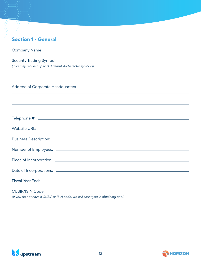| <b>Section 1 - General</b>                                                                              |
|---------------------------------------------------------------------------------------------------------|
|                                                                                                         |
| <b>Security Trading Symbol</b><br>(You may request up to 3 different 4-character symbols)               |
| <b>Address of Corporate Headquarters</b><br><u> 1989 - Johann Stoff, amerikansk politiker (d. 1989)</u> |
| ,我们也不会有什么。""我们的人,我们也不会有什么?""我们的人,我们也不会有什么?""我们的人,我们也不会有什么?""我们的人,我们也不会有什么?""我们的人                        |
|                                                                                                         |
|                                                                                                         |
|                                                                                                         |
|                                                                                                         |
|                                                                                                         |
|                                                                                                         |
|                                                                                                         |
| (if you do not have a CUSIP or ISIN code, we will assist you in obtaining one.)                         |



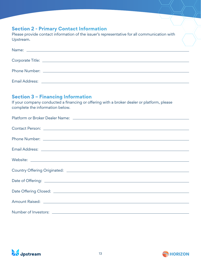# **Section 2 - Primary Contact Information**

Please provide contact information of the issuer's representative for all communication with Upstream.

# **Section 3 – Financing Information**

If your company conducted a financing or offering with a broker dealer or platform, please complete the information below.

| Number of Investors: <u>www.community.community.community.community.community.com</u> |
|---------------------------------------------------------------------------------------|
|                                                                                       |



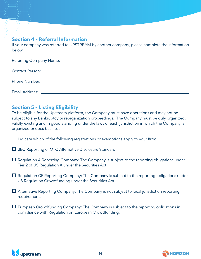# **Section 4 - Referral Information**

If your company was referred to UPSTREAM by another company, please complete the information below.

# **Section 5 - Listing Eligibility**

To be eligible for the Upstream platform, the Company must have operations and may not be subject to any Bankruptcy or reorganization proceedings. The Company must be duly organized, validly existing and in good standing under the laws of each jurisdiction in which the Company is organized or does business.

- 1. Indicate which of the following registrations or exemptions apply to your firm:
- $\square$  SEC Reporting or OTC Alternative Disclosure Standard
- $\Box$  Regulation A Reporting Company: The Company is subject to the reporting obligations under Tier 2 of US Regulation A under the Securities Act.
- $\Box$  Regulation CF Reporting Company: The Company is subject to the reporting obligations under US Regulation Crowdfunding under the Securities Act.
- $\Box$  Alternative Reporting Company: The Company is not subject to local jurisdiction reporting requirements
- $\Box$  European Crowdfunding Company: The Company is subject to the reporting obligations in compliance with Regulation on European Crowdfunding.



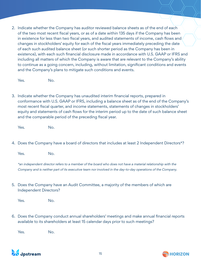2. Indicate whether the Company has auditor reviewed balance sheets as of the end of each of the two most recent fiscal years, or as of a date within 135 days if the Company has been in existence for less than two fiscal years, and audited statements of income, cash flows and changes in stockholders' equity for each of the fiscal years immediately preceding the date of each such audited balance sheet (or such shorter period as the Company has been in existence), with each such financial disclosure made in accordance with U.S. GAAP or IFRS and including all matters of which the Company is aware that are relevant to the Company's ability to continue as a going concern, including, without limitation, significant conditions and events and the Company's plans to mitigate such conditions and events.

Yes. No.

3. Indicate whether the Company has unaudited interim financial reports, prepared in conformance with U.S. GAAP or IFRS, including a balance sheet as of the end of the Company's most recent fiscal quarter, and income statements, statements of changes in stockholders' equity and statements of cash flows for the interim period up to the date of such balance sheet and the comparable period of the preceding fiscal year.

Yes. No.

4. Does the Company have a board of directors that includes at least 2 Independent Directors\*?

Yes. No.

\*an independent director refers to a member of the board who does not have a material relationship with the Company and is neither part of its executive team nor involved in the day-to-day operations of the Company.

5. Does the Company have an Audit Committee, a majority of the members of which are Independent Directors?

Yes. No.

6. Does the Company conduct annual shareholders' meetings and make annual financial reports available to its shareholders at least 15 calendar days prior to such meetings?

Yes. No.



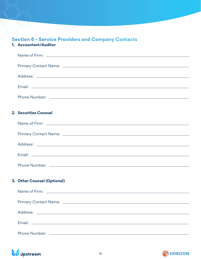# **Section 6 - Service Providers and Company Contacts**

#### **1. Accountant/Auditor**

| 2. Securities Counsel       |
|-----------------------------|
|                             |
|                             |
|                             |
|                             |
|                             |
|                             |
| 3. Other Counsel (Optional) |
|                             |
|                             |
|                             |
|                             |
|                             |
|                             |



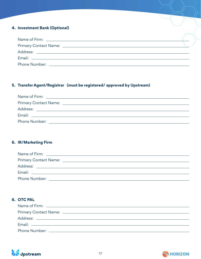#### **4. Investment Bank (Optional)**

| Phone Number: The contract of the contract of the contract of the contract of the contract of the contract of the contract of the contract of the contract of the contract of the contract of the contract of the contract of |  |
|-------------------------------------------------------------------------------------------------------------------------------------------------------------------------------------------------------------------------------|--|

#### **5. Transfer Agent/Registrar (must be registered/ approved by Upstream)**

|               | Name of Firm: <u>_____________________________</u> |  |  |
|---------------|----------------------------------------------------|--|--|
|               |                                                    |  |  |
|               | Address: ___________________________               |  |  |
|               |                                                    |  |  |
| Phone Number: |                                                    |  |  |

#### **6. IR/Marketing Firm**

| Name of Firm: Name of Firm:  |                                                                                                                      |  |
|------------------------------|----------------------------------------------------------------------------------------------------------------------|--|
| <b>Primary Contact Name:</b> | <u> 1989 - Johann Stein, mars an deutscher Stein und der Stein und der Stein und der Stein und der Stein und der</u> |  |
| Address:                     |                                                                                                                      |  |
|                              |                                                                                                                      |  |
| Phone Number:                |                                                                                                                      |  |

#### **6. OTC PAL**



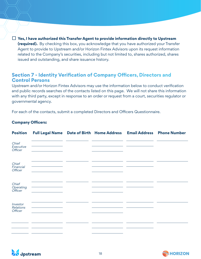□ **Yes, I have authorized this Transfer Agent to provide information directly to Upstream (required).** By checking this box, you acknowledge that you have authorized your Transfer Agent to provide to Upstream and/or Horizon Fintex Advisors upon its request information related to the Company's securities, including but not limited to, shares authorized, shares issued and outstanding, and share issuance history.

#### **Section 7 - Identity Verification of Company Officers, Directors and Control Persons**

Upstream and/or Horizon Fintex Advisors may use the information below to conduct verification and public records searches of the contacts listed on this page. We will not share this information with any third party, except in response to an order or request from a court, securities regulator or governmental agency.

For each of the contacts, submit a completed Directors and Officers Questionnaire.

#### **Company Officers:**

| <b>Position</b>                  | Full Legal Name Date of Birth Home Address Email Address |  | <b>Phone Number</b> |
|----------------------------------|----------------------------------------------------------|--|---------------------|
| Chief<br>Executive<br>Officer    |                                                          |  |                     |
| Chief<br>Financial<br>Officer    |                                                          |  |                     |
| Chief<br>Operating<br>Officer    |                                                          |  |                     |
| Investor<br>Relations<br>Officer |                                                          |  |                     |
|                                  |                                                          |  |                     |



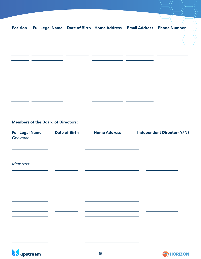| Position Full Legal Name Date of Birth Home Address Email Address Phone Number                                       |  |                                                      |  |
|----------------------------------------------------------------------------------------------------------------------|--|------------------------------------------------------|--|
| <u> 1989 - Johann John Stone, markin film yn y brenin y brenin y brenin y brenin y brenin y brenin y brenin y br</u> |  |                                                      |  |
| <u> 1989 - Johann John Stone, mars et al. (</u>                                                                      |  |                                                      |  |
|                                                                                                                      |  | <u> 1989 - Johann John Stone, mars eta inperiodo</u> |  |
|                                                                                                                      |  |                                                      |  |
|                                                                                                                      |  |                                                      |  |
| <u> 1989 - Johann John Stone, markin film yn y brenin y brenin y brenin y brenin y brenin y brenin y brenin y br</u> |  |                                                      |  |
|                                                                                                                      |  |                                                      |  |
|                                                                                                                      |  |                                                      |  |

#### **Members of the Board of Directors:**

| <b>Full Legal Name</b><br>Chairman: | <b>Date of Birth</b> | <b>Home Address</b> | <b>Independent Director (Y/N)</b> |
|-------------------------------------|----------------------|---------------------|-----------------------------------|
|                                     |                      |                     |                                   |
| Members:                            |                      |                     |                                   |
|                                     |                      |                     |                                   |
|                                     |                      |                     |                                   |
|                                     |                      |                     |                                   |
|                                     |                      |                     |                                   |



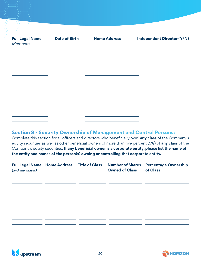| <b>Full Legal Name</b><br>Members: | <b>Date of Birth</b> | <b>Home Address</b>                                                                                                                                                                                               | <b>Independent Director (Y/N)</b> |
|------------------------------------|----------------------|-------------------------------------------------------------------------------------------------------------------------------------------------------------------------------------------------------------------|-----------------------------------|
|                                    |                      | <u> 1989 - Johann Stein, marwolaethau a bhann an t-Amhair an t-Amhair an t-Amhair an t-Amhair an t-Amhair an t-A</u><br>the control of the control of the control of the control of the control of the control of |                                   |
|                                    |                      |                                                                                                                                                                                                                   |                                   |
|                                    |                      | <u> 1989 - Johann Stein, mars an de Brasilia (b. 1989)</u>                                                                                                                                                        |                                   |
|                                    |                      |                                                                                                                                                                                                                   |                                   |
|                                    |                      |                                                                                                                                                                                                                   |                                   |
|                                    |                      |                                                                                                                                                                                                                   |                                   |

## **Section 8 - Security Ownership of Management and Control Persons:**

Complete this section for all officers and directors who beneficially own<sup>1</sup> any class of the Company's equity securities as well as other beneficial owners of more than five percent (5%) of **any class** of the Company's equity securities. **If any beneficial owner is a corporate entity, please list the name of the entity and names of the person(s) owning or controlling that corporate entity.**

| <b>Full Legal Name Home Address Title of Class</b><br>(and any aliases) |    | <b>Number of Shares</b><br><b>Owned of Class</b> | <b>Percentage Ownership</b><br>of Class |
|-------------------------------------------------------------------------|----|--------------------------------------------------|-----------------------------------------|
|                                                                         |    |                                                  |                                         |
|                                                                         |    |                                                  |                                         |
|                                                                         |    |                                                  |                                         |
|                                                                         |    |                                                  |                                         |
|                                                                         |    |                                                  |                                         |
| <b>ZN</b> dpstream                                                      | 20 |                                                  | <b>SHORIZON</b>                         |

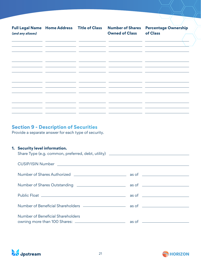**Number of Shares** Percentage Ownership **Full Legal Name Home Address Title of Class Number of Shares Owned of Classof Class (and any aliases)**   $\mathbf{r}$  $\mathbf{r}$  $\sim$  $\overline{a}$  and  $\overline{a}$  $\overline{a}$  $\mathbb{R}^{\mathbb{Z}}$  $\overline{a}$  and  $\overline{a}$  $\overline{a}$ 

# **Section 9 - Description of Securities**

Provide a separate answer for each type of security.

#### **1. Security level information.**

| Share Type (e.g. common, preferred, debt, utility) ______________________________ |  |
|-----------------------------------------------------------------------------------|--|
|                                                                                   |  |
|                                                                                   |  |
|                                                                                   |  |
|                                                                                   |  |
|                                                                                   |  |
| Number of Beneficial Shareholders                                                 |  |



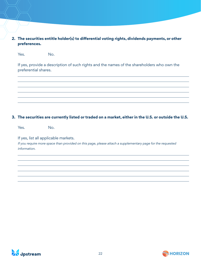#### **2. The securities entitle holder(s) to differential voting rights, dividends payments, or other preferences.**

Yes. No.

If yes, provide a description of such rights and the names of the shareholders who own the preferential shares.

#### **3. The securities are currently listed or traded on a market, either in the U.S. or outside the U.S.**

Yes. No.

If yes, list all applicable markets.

If you require more space than provided on this page, please attach a supplementary page for the requested information.



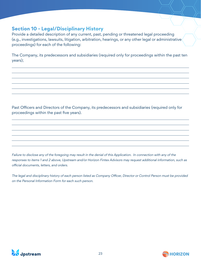# **Section 10 - Legal/Disciplinary History**

Provide a detailed description of any current, past, pending or threatened legal proceeding (e.g., investigations, lawsuits, litigation, arbitration, hearings, or any other legal or administrative proceedings) for each of the following:

The Company, its predecessors and subsidiaries (required only for proceedings within the past ten years);

Past Officers and Directors of the Company, its predecessors and subsidiaries (required only for proceedings within the past five years).

Failure to disclose any of the foregoing may result in the denial of this Application. In connection with any of the responses to items 1 and 2 above, Upstream and/or Horizon Fintex Advisors may request additional information, such as official documents, letters, and orders.

The legal and disciplinary history of each person listed as Company Officer, Director or Control Person must be provided on the Personal Information Form for each such person.



 $\overline{a}$ 

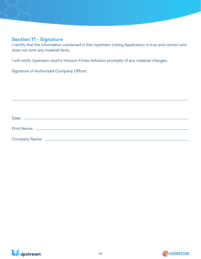## **Section 11 - Signature**

I certify that the information contained in this Upstream Listing Application is true and correct and does not omit any material facts.

I will notify Upstream and/or Horizon Fintex Advisors promptly of any material changes.

Signature of Authorized Company Officer:

| Date:         |  |  |  |
|---------------|--|--|--|
|               |  |  |  |
| Company Name: |  |  |  |



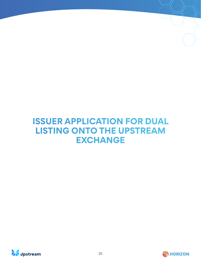# **ISSUER APPLICATION FOR DUAL LISTING ONTO THE UPSTREAM EXCHANGE**



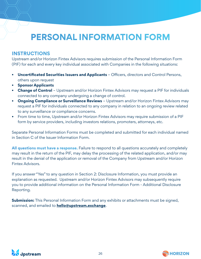# **PERSONAL INFORMATION FORM**

# **INSTRUCTIONS**

Upstream and/or Horizon Fintex Advisors requires submission of the Personal Information Form (PIF) for each and every key individual associated with Companies in the following situations:

- **• Uncertificated Securities Issuers and Applicants**  Officers, directors and Control Persons, others upon request
- **• Sponsor Applicants**
- **• Change of Control** Upstream and/or Horizon Fintex Advisors may request a PIF for individuals connected to any company undergoing a change of control.
- **Ongoing Compliance or Surveillance Reviews** Upstream and/or Horizon Fintex Advisors may request a PIF for individuals connected to any company in relation to an ongoing review related to any surveillance or compliance concerns.
- From time to time, Upstream and/or Horizon Fintex Advisors may require submission of a PIF form by service providers, including investors relations, promoters, attorneys, etc.

Separate Personal Information Forms must be completed and submitted for each individual named in Section C of the Issuer Information Form.

**All questions must have a response.** Failure to respond to all questions accurately and completely may result in the return of the PIF, may delay the processing of the related application, and/or may result in the denial of the application or removal of the Company from Upstream and/or Horizon Fintex Advisors.

If you answer "Yes" to any question in Section 2: Disclosure Information, you must provide an explanation as requested. Upstream and/or Horizon Fintex Advisors may subsequently require you to provide additional information on the Personal Information Form - Additional Disclosure Reporting.

**Submission:** This Personal Information Form and any exhibits or attachments must be signed, scanned, and emailed to **hello@upstream.exchange**.



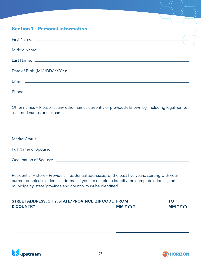# **Section 1 - Personal Information**

*A* dpstream

| Other names - Please list any other names currently or previously known by, including legal names,<br>assumed names or nicknames:<br><u> 1989 - Johann Stoff, deutscher Stoffen und der Stoffen und der Stoffen und der Stoffen und der Stoffen und de</u>            |                |                             |
|-----------------------------------------------------------------------------------------------------------------------------------------------------------------------------------------------------------------------------------------------------------------------|----------------|-----------------------------|
| ,我们也不能在这里的时候,我们也不能在这里的时候,我们也不能会不能会不能会不能会不能会不能会不能会不能会不能会不能会。<br>第2012章 我们的时候,我们的时候,我们的时候,我们的时候,我们的时候,我们的时候,我们的时候,我们的时候,我们的时候,我们的时候,我们的时候,我们的时候,我                                                                                                                       |                |                             |
|                                                                                                                                                                                                                                                                       |                |                             |
|                                                                                                                                                                                                                                                                       |                |                             |
| Residential History - Provide all residential addresses for the past five years, starting with your<br>current principal residential address. If you are unable to identify the complete address, the<br>municipality, state/province and country must be identified. |                |                             |
| STREET ADDRESS, CITY, STATE/PROVINCE, ZIP CODE FROM<br><b>&amp; COUNTRY</b>                                                                                                                                                                                           | <b>MM YYYY</b> | <b>TO</b><br><b>MM YYYY</b> |
|                                                                                                                                                                                                                                                                       |                |                             |

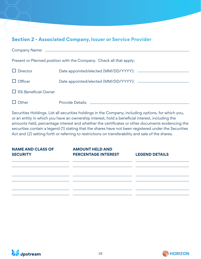# **Section 2 - Associated Company, Issuer or Service Provider**

|                            | Present or Planned position with the Company. Check all that apply: |
|----------------------------|---------------------------------------------------------------------|
| $\Box$ Director            | Date appointed/elected (MM/DD/YYYY): _________                      |
| $\Box$ Officer             |                                                                     |
| $\Box$ 5% Beneficial Owner |                                                                     |
| $\Box$ Other               |                                                                     |

Securities Holdings. List all securities holdings in the Company, including options, for which you, or an entity in which you have an ownership interest, hold a beneficial interest, including the amounts held, percentage interest and whether the certificates or other documents evidencing the securities contain a legend (1) stating that the shares have not been registered under the Securities Act and (2) setting forth or referring to restrictions on transferability and sale of the shares.

| <b>NAME AND CLASS OF</b> | <b>AMOUNT HELD AND</b>                                                                                               |                                                                                                                       |
|--------------------------|----------------------------------------------------------------------------------------------------------------------|-----------------------------------------------------------------------------------------------------------------------|
| <b>SECURITY</b>          | <b>PERCENTAGE INTEREST</b>                                                                                           | <b>LEGEND DETAILS</b>                                                                                                 |
|                          |                                                                                                                      | <u> 1989 - Andrea Santa Alemania, amerikana amerikana amerikana amerikana amerikana amerikana amerikana amerikana</u> |
|                          | <u> 1989 - Andrea San Andrea San Andrea San Andrea San Andrea San Andrea San Andrea San Andrea San Andrea San An</u> |                                                                                                                       |
|                          |                                                                                                                      |                                                                                                                       |
|                          |                                                                                                                      |                                                                                                                       |
|                          |                                                                                                                      |                                                                                                                       |
|                          |                                                                                                                      |                                                                                                                       |
|                          |                                                                                                                      |                                                                                                                       |



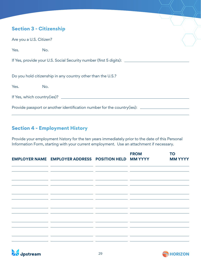# **Section 3 - Citizenship**

| Are you a U.S. Citizen? |                                                                                  |  |
|-------------------------|----------------------------------------------------------------------------------|--|
| Yes.                    | No.                                                                              |  |
|                         | If Yes, provide your U.S. Social Security number (first 5 digits): _____________ |  |
|                         | Do you hold citizenship in any country other than the U.S.?                      |  |
| Yes.                    | No.                                                                              |  |
|                         |                                                                                  |  |
|                         | Provide passport or another identification number for the country(ies): ______   |  |
|                         |                                                                                  |  |

# **Section 4 - Employment History**

Provide your employment history for the ten years immediately prior to the date of this Personal Information Form, starting with your current employment. Use an attachment if necessary.

|                                                                                                                        | <b>EMPLOYER NAME EMPLOYER ADDRESS POSITION HELD MM YYYY</b>                                                                                                                                                                                                                                           |                                                                                                                                                                    | <b>FROM</b>                                                           | <b>TO</b><br><b>MM YYYY</b> |
|------------------------------------------------------------------------------------------------------------------------|-------------------------------------------------------------------------------------------------------------------------------------------------------------------------------------------------------------------------------------------------------------------------------------------------------|--------------------------------------------------------------------------------------------------------------------------------------------------------------------|-----------------------------------------------------------------------|-----------------------------|
|                                                                                                                        | <u> 1999 - Andrea Santana, Amerikaansk politik (d. 1989)</u><br><u> 1989 - Andrea Andrea Andrea Andrea Andrea Andrea Andrea Andrea Andrea Andrea Andrea Andrea Andrea Andrea Andr</u>                                                                                                                 |                                                                                                                                                                    |                                                                       |                             |
|                                                                                                                        | <u> 1999 - Johann John Stone, mars and de format de la provincia de la provincia de la provincia de la provincia</u><br><u> 1990 - Jan James Sandarík (f. 1980)</u>                                                                                                                                   |                                                                                                                                                                    |                                                                       |                             |
|                                                                                                                        | <u> 1990 - Jan James James Barnett, amerikan personal (h. 1980).</u>                                                                                                                                                                                                                                  |                                                                                                                                                                    |                                                                       |                             |
| ______                                                                                                                 | <u> 2002 - Jan Barristo, Amerikaanse politiker (h. 1982).</u><br><u> The Common School and The Common School and The Common School and The Common School and The Common School and The Common School and The Common School and The Common School and The Common School and The Common School and </u> |                                                                                                                                                                    | <u> 2002 - Jan James James Barnett (</u>                              |                             |
|                                                                                                                        | <u> 1990 - Jan James James Sandarík (f. 1980)</u>                                                                                                                                                                                                                                                     |                                                                                                                                                                    | <u> 1989 - Andrea Station Barbara, Amerikaansk politiker († 1908)</u> |                             |
| <u> 1980 - Jan James James Barnett, francuski politik (</u>                                                            | the control of the control of the control of the control of the control of                                                                                                                                                                                                                            | <u> 1989 - Johann Harry Barn, mars a</u><br><u> 1989 - John Harry Barn, mars and de la partie de la partie de la partie de la partie de la partie de la partie</u> |                                                                       |                             |
| <u> 1989 - John Harry Barnett, mars ar yn y brening yn y brening yn y brening yn y brening yn y brening yn y breni</u> | <u> 1989 - Johann Harry Barn, mars and de Branch and de Branch and de Branch and de Branch and de Branch and de Br</u>                                                                                                                                                                                | <u> The Common School and Common School and Common School and Common School and Common School and Common School and</u>                                            |                                                                       |                             |



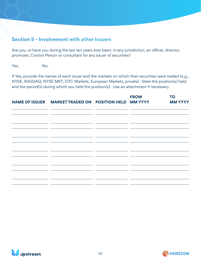# **Section 5 - Involvement with other Issuers**

Are you, or have you during the last ten years ever been, in any jurisdiction, an officer, director, promoter, Control Person or consultant for any issuer of securities?

Yes. No.

If Yes, provide the names of each issuer and the markets on which their securities were traded (e.g., NYSE, NASDAQ, NYSE MKT, OTC Markets, European Markets, private). State the position(s) held and the period(s) during which you held the position(s). Use an attachment if necessary.

|                                                                                                                       | NAME OF ISSUER MARKET TRADED ON POSITION HELD MM YYYY                                                                                                                                                                                                                |                                                                                                                                                                                                                                                                                                                                                                    | <b>FROM</b>                                                  | <b>TO</b><br><b>MM YYYY</b> |
|-----------------------------------------------------------------------------------------------------------------------|----------------------------------------------------------------------------------------------------------------------------------------------------------------------------------------------------------------------------------------------------------------------|--------------------------------------------------------------------------------------------------------------------------------------------------------------------------------------------------------------------------------------------------------------------------------------------------------------------------------------------------------------------|--------------------------------------------------------------|-----------------------------|
|                                                                                                                       | <u> 1990 - Andrea Galleri, amerikan basar basar dan berasal dalam basa dalam basa dalam basa dalam basa dalam ba</u><br><u> 1999 - Andrea Andrea Andrea Andrea Andrea Andrea Andrea Andrea Andrea Andrea Andrea Andrea Andrea Andrea Andr</u>                        |                                                                                                                                                                                                                                                                                                                                                                    |                                                              |                             |
| <u> The Common State Common</u>                                                                                       | <u> 1989 - John Harry Barn, fransk politik (d. 1989)</u><br><u> 1989 - Johann Harry Harry Barn, mars and de final and design and design and design and design and design and </u><br>the contract of the contract of the contract of the contract of the contract of | <u> The Common State Common State Common State Common State Common State Common State Common State Common State Common</u><br><u> The Common State Common State Common State Common State Common State Common State Common State Common State Common State Common State Common State Common State Common State Common State Common State Common State Common S</u> |                                                              |                             |
|                                                                                                                       | <u> 1990 - Andrea Andrea Andrea Andrea Andrea Andrea Andrea Andrea Andrea Andrea Andrea Andrea Andrea Andrea Andr</u>                                                                                                                                                |                                                                                                                                                                                                                                                                                                                                                                    |                                                              |                             |
|                                                                                                                       | <u> 1999 - Jan James Alexandro III (m. 1918)</u>                                                                                                                                                                                                                     |                                                                                                                                                                                                                                                                                                                                                                    | <u> 1989 - Andrea Santana, martxa eta batarra (h. 1989).</u> |                             |
|                                                                                                                       |                                                                                                                                                                                                                                                                      |                                                                                                                                                                                                                                                                                                                                                                    |                                                              |                             |
| <u> 1989 - John Harry Harry Harry Harry Harry Harry Harry Harry Harry Harry Harry Harry Harry Harry Harry Harry H</u> |                                                                                                                                                                                                                                                                      | <u> 1989 - Johann Barnett, fransk politik (</u>                                                                                                                                                                                                                                                                                                                    |                                                              |                             |
|                                                                                                                       | <u> and the second second second</u><br><u> 1990 - Jan James James</u><br><u> 1989 - Johann John Stone, markin sammen og med større og med større og med større og med større og med større</u>                                                                      |                                                                                                                                                                                                                                                                                                                                                                    | __<br>__                                                     |                             |



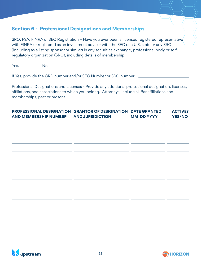# **Section 6 - Professional Designations and Memberships**

SRO, FSA, FINRA or SEC Registration – Have you ever been a licensed registered representative with FINRA or registered as an investment advisor with the SEC or a U.S. state or any SRO (including as a listing sponsor or similar) in any securities exchange, professional body or selfregulatory organization (SRO), including details of membership

Yes. No.

If Yes, provide the CRD number and/or SEC Number or SRO number:

Professional Designations and Licenses - Provide any additional professional designation, licenses, affiliations, and associations to which you belong. Attorneys, include all Bar affiliations and memberships, past or present.

| <b>PROFESSIONAL DESIGNATION GRANTOR OF DESIGNATION DATE GRANTED</b><br><b>AND MEMBERSHIP NUMBER</b> | <b>AND JURISDICTION</b> | <b>MM DD YYYY</b> | <b>ACTIVE?</b><br><b>YES/NO</b> |
|-----------------------------------------------------------------------------------------------------|-------------------------|-------------------|---------------------------------|
|                                                                                                     |                         |                   |                                 |
|                                                                                                     |                         |                   |                                 |
|                                                                                                     |                         |                   |                                 |
|                                                                                                     |                         |                   |                                 |
|                                                                                                     |                         |                   |                                 |



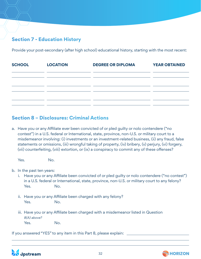# **Section 7 - Education History**

Provide your post-secondary (after high school) educational history, starting with the most recent:

| <b>SCHOOL</b> | <b>LOCATION</b>                                                                 | <b>DEGREE OR DIPLOMA</b> | <b>YEAR OBTAINED</b> |
|---------------|---------------------------------------------------------------------------------|--------------------------|----------------------|
|               |                                                                                 |                          |                      |
|               | the contract of the contract of the contract of the contract of the contract of |                          |                      |
|               |                                                                                 |                          |                      |
|               |                                                                                 |                          |                      |

# **Section 8 – Disclosures: Criminal Actions**

a. Have you or any Affiliate ever been convicted of or pled guilty or nolo contendere ("no contest") in a U.S. federal or International, state, province, non-U.S. or military court to a misdemeanor involving: (i) investments or an investment-related business, (ii) any fraud, false statements or omissions, (iii) wrongful taking of property, (iv) bribery, (v) perjury, (vi) forgery, (vii) counterfeiting, (viii) extortion, or (ix) a conspiracy to commit any of these offenses?

Yes. No.

b. In the past ten years:

- i. Have you or any Affiliate been convicted of or pled guilty or nolo contendere ("no contest") in a U.S. federal or International, state, province, non-U.S. or military court to any felony? Yes. No.
- ii. Have you or any Affiliate been charged with any felony? Yes. No.
- iii. Have you or any Affiliate been charged with a misdemeanor listed in Question 8(A) above? Yes. No.

If you answered "YES" to any item in this Part 8, please explain:



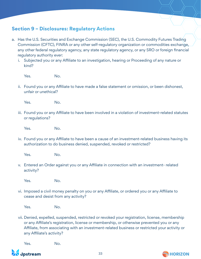# **Section 9 – Disclosures: Regulatory Actions**

- a. Has the U.S. Securities and Exchange Commission (SEC), the U.S. Commodity Futures Trading Commission (CFTC), FINRA or any other self-regulatory organization or commodities exchange, any other federal regulatory agency, any state regulatory agency, or any SRO or foreign financial regulatory authority ever:
	- i. Subjected you or any Affiliate to an investigation, hearing or Proceeding of any nature or kind?

Yes. No.

ii. Found you or any Affiliate to have made a false statement or omission, or been dishonest, unfair or unethical?

Yes. No.

iii. Found you or any Affiliate to have been involved in a violation of investment-related statutes or regulations?

Yes. No.

iv. Found you or any Affiliate to have been a cause of an investment-related business having its authorization to do business denied, suspended, revoked or restricted?

Yes. No.

v. Entered an Order against you or any Affiliate in connection with an investment- related activity?

Yes. No.

vi. Imposed a civil money penalty on you or any Affiliate, or ordered you or any Affiliate to cease and desist from any activity?

Yes. No.

vii. Denied, expelled, suspended, restricted or revoked your registration, license, membership or any Affiliate's registration, license or membership, or otherwise prevented you or any Affiliate, from associating with an investment-related business or restricted your activity or any Affiliate's activity?

Yes. No.



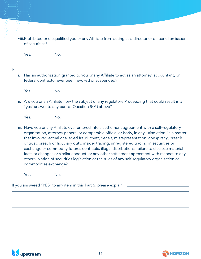viii.Prohibited or disqualified you or any Affiliate from acting as a director or officer of an issuer of securities?

Yes. No.

#### b.

i. Has an authorization granted to you or any Affiliate to act as an attorney, accountant, or federal contractor ever been revoked or suspended?

Yes. No.

ii. Are you or an Affiliate now the subject of any regulatory Proceeding that could result in a "yes" answer to any part of Question 9(A) above?

Yes. No.

iii. Have you or any Affiliate ever entered into a settlement agreement with a self-regulatory organization, attorney general or comparable official or body, in any jurisdiction, in a matter that Involved actual or alleged fraud, theft, deceit, misrepresentation, conspiracy, breach of trust, breach of fiduciary duty, insider trading, unregistered trading in securities or exchange or commodity futures contracts, illegal distributions, failure to disclose material facts or changes or similar conduct, or any other settlement agreement with respect to any other violation of securities legislation or the rules of any self-regulatory organization or commodities exchange?

Yes. No.

If you answered "YES" to any item in this Part 9, please explain:



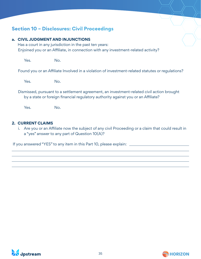# **Section 10 – Disclosures: Civil Proceedings**

#### **a. CIVIL JUDGMENT AND INJUNCTIONS**

Has a court in any jurisdiction in the past ten years: Enjoined you or an Affiliate, in connection with any investment-related activity?

Yes. No.

Found you or an Affiliate Involved in a violation of investment-related statutes or regulations?

Yes. No.

Dismissed, pursuant to a settlement agreement, an investment-related civil action brought by a state or foreign financial regulatory authority against you or an Affiliate?

Yes. No.

#### **2. CURRENT CLAIMS**

i. Are you or an Affiliate now the subject of any civil Proceeding or a claim that could result in a "yes" answer to any part of Question 10(A)?

If you answered "YES" to any item in this Part 10, please explain:



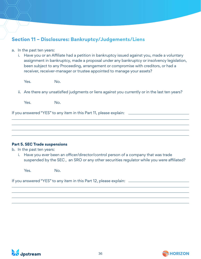# **Section 11 – Disclosures: Bankruptcy/Judgements/Liens**

- a. In the past ten years:
	- i. Have you or an Affiliate had a petition in bankruptcy issued against you, made a voluntary assignment in bankruptcy, made a proposal under any bankruptcy or insolvency legislation, been subject to any Proceeding, arrangement or compromise with creditors, or had a receiver, receiver-manager or trustee appointed to manage your assets?

Yes. No.

ii. Are there any unsatisfied judgments or liens against you currently or in the last ten years?

Yes. No.

If you answered "YES" to any item in this Part 11, please explain:

#### **Part 5. SEC Trade suspensions**

b. In the past ten years:

i. Have you ever been an officer/director/control person of a company that was trade suspended by the SEC , an SRO or any other securities regulator while you were affiliated?

Yes. No.

If you answered "YES" to any item in this Part 12, please explain:



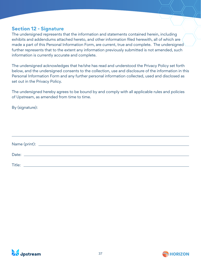## **Section 12 - Signature**

The undersigned represents that the information and statements contained herein, including exhibits and addendums attached hereto, and other information filed herewith, all of which are made a part of this Personal Information Form, are current, true and complete. The undersigned further represents that to the extent any information previously submitted is not amended, such information is currently accurate and complete.

The undersigned acknowledges that he/she has read and understood the Privacy Policy set forth below, and the undersigned consents to the collection, use and disclosure of the information in this Personal Information Form and any further personal information collected, used and disclosed as set out in the Privacy Policy.

The undersigned hereby agrees to be bound by and comply with all applicable rules and policies of Upstream, as amended from time to time.

By (signature):

| Title: |  |  |  |  |
|--------|--|--|--|--|



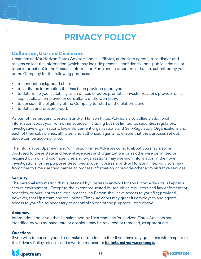# **PRIVACY POLICY**

# **Collection, Use and Disclosure**

Upstream and/or Horizon Fintex Advisors and its affiliates, authorized agents, subsidiaries and assigns collect the information (which may include personal, confidential, non-public, criminal or other information) in the Personal Information Form and in other forms that are submitted by you or the Company for the following purposes:

- to conduct background checks;
- to verify the information that has been provided about you;
- to determine your suitability as an officer, director, promoter, investor relations provider or, as applicable, an employee or consultant, of the Company;
- to consider the eligibility of the Company to listed on the platform; and
- to detect and prevent fraud.

As part of this process, Upstream and/or Horizon Fintex Advisors also collects additional information about you from other sources, including but not limited to, securities regulators, investigative organizations, law enforcement organizations and Self-Regulatory Organizations and each of their subsidiaries, affiliates, and authorized agents, to ensure that the purposes set out above can be accomplished.

The information Upstream and/or Horizon Fintex Advisors collects about you may also be disclosed to these state and federal agencies and organizations or as otherwise permitted or required by law, and such agencies and organizations may use such information in their own investigations for the purposes described above. Upstream and/or Horizon Fintex Advisors may from time to time use third parties to process information or provide other administrative services.

#### **Security**

The personal information that is retained by Upstream and/or Horizon Fintex Advisors is kept in a secure environment. Except to the extent requested by securities regulators and law enforcement agencies, or pursuant to the legal process, no Person shall have access to your file; provided, however, that Upstream and/or Horizon Fintex Advisors may grant its employees and agents access to your file as necessary to accomplish one of the purposes listed above.

#### **Accuracy**

Information about you that is maintained by Upstream and/or Horizon Fintex Advisors and identified by you as inaccurate or obsolete may be replaced or removed, as appropriate.

#### **Questions**

If you wish to consult your file or make corrections to it or if you have any questions with respect to this Privacy Policy, please send a written request to: **hello@upstream.exchange.**



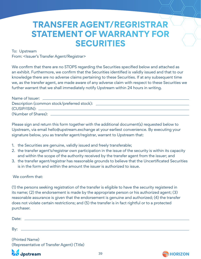# **TRANSFER AGENT/REGRISTRAR STATEMENT OF WARRANTY FOR SECURITIES**

To: Upstream

From: <Issuer's Transfer Agent/Registrar>

We confirm that there are no STOPS regarding the Securities specified below and attached as an exhibit. Furthermore, we confirm that the Securities identified is validly issued and that to our knowledge there are no adverse claims pertaining to these Securities. If at any subsequent time we, as the transfer agent, are made aware of any adverse claim with respect to these Securities we further warrant that we shall immediately notify Upstream within 24 hours in writing.

| Name of Issuer: ___________                 |  |
|---------------------------------------------|--|
| Description (common stock/preferred stock): |  |
|                                             |  |
| (Number of Shares): _________               |  |

Please sign and return this form together with the additional document(s) requested below to Upstream, via email hello@upstream.exchange at your earliest convenience. By executing your signature below, you as transfer agent/registrar, warrant to Upstream that:

- 1. the Securities are genuine, validly issued and freely transferable;
- 2. the transfer agent's/registrar own participation in the issue of the security is within its capacity and within the scope of the authority received by the transfer agent from the issuer; and
- 3. the transfer agent/registrar has reasonable grounds to believe that the Uncertificated Securities is in the form and within the amount the issuer is authorized to issue.

#### We confirm that:

(1) the persons seeking registration of the transfer is eligible to have the security registered in its name; (2) the endorsement is made by the appropriate person or his authorized agent; (3) reasonable assurance is given that the endorsement is genuine and authorized; (4) the transfer does not violate certain restrictions; and (5) the transfer is in fact rightful or to a protected purchaser.

| Date: |  |  |  |  |  |  |
|-------|--|--|--|--|--|--|
|       |  |  |  |  |  |  |
|       |  |  |  |  |  |  |

By: .

(Printed Name) (Representative of Transfer Agent) (Title)



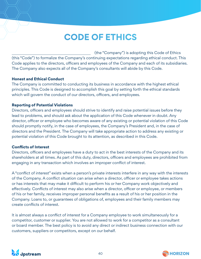# **CODE OF ETHICS**

 (the "Company") is adopting this Code of Ethics (this "Code") to formalize the Company's continuing expectations regarding ethical conduct. This Code applies to the directors, officers and employees of the Company and each of its subsidiaries. The Company also expects all of the Company's consultants will abide by this Code.

#### **Honest and Ethical Conduct**

The Company is committed to conducting its business in accordance with the highest ethical principles. This Code is designed to accomplish this goal by setting forth the ethical standards which will govern the conduct of our directors, officers, and employees.

#### **Reporting of Potential Violations**

Directors, officers and employees should strive to identify and raise potential issues before they lead to problems, and should ask about the application of this Code whenever in doubt. Any director, officer or employee who becomes aware of any existing or potential violation of this Code should promptly notify, in the case of employees, the Company's President and, in the case of directors and the President. The Company will take appropriate action to address any existing or potential violation of this Code brought to its attention, as described in this Code.

#### **Conflicts of Interest**

Directors, officers and employees have a duty to act in the best interests of the Company and its shareholders at all times. As part of this duty, directors, officers and employees are prohibited from engaging in any transaction which involves an improper conflict of interest.

A "conflict of interest" exists when a person's private interests interfere in any way with the interests of the Company. A conflict situation can arise when a director, officer or employee takes actions or has interests that may make it difficult to perform his or her Company work objectively and effectively. Conflicts of interest may also arise when a director, officer or employee, or members of his or her family, receives improper personal benefits as a result of his or her position in the Company. Loans to, or guarantees of obligations of, employees and their family members may create conflicts of interest.

It is almost always a conflict of interest for a Company employee to work simultaneously for a competitor, customer or supplier. You are not allowed to work for a competitor as a consultant or board member. The best policy is to avoid any direct or indirect business connection with our customers, suppliers or competitors, except on our behalf.



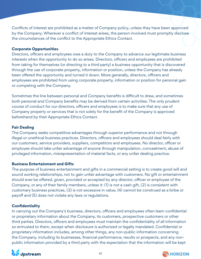Conflicts of interest are prohibited as a matter of Company policy, unless they have been approved by the Company. Wherever a conflict of interest arises, the person involved must promptly disclose the circumstances of the conflict to the Appropriate Ethics Contact.

#### **Corporate Opportunities**

Directors, officers and employees owe a duty to the Company to advance our legitimate business interests when the opportunity to do so arises. Directors, officers and employees are prohibited from taking for themselves (or directing to a third party) a business opportunity that is discovered through the use of corporate property, information or position, unless the Company has already been offered the opportunity and turned it down. More generally, directors, officers and employees are prohibited from using corporate property, information or position for personal gain or competing with the Company.

Sometimes the line between personal and Company benefits is difficult to draw, and sometimes both personal and Company benefits may be derived from certain activities. The only prudent course of conduct for our directors, officers and employees is to make sure that any use of Company property or services that is not solely for the benefit of the Company is approved beforehand by their Appropriate Ethics Contact.

#### **Fair Dealing**

The Company seeks competitive advantages through superior performance and not through illegal or unethical business practices. Directors, officers and employees should deal fairly with our customers, service providers, suppliers, competitors and employees. No director, officer or employee should take unfair advantage of anyone through manipulation, concealment, abuse of privileged information, misrepresentation of material facts, or any unfair dealing practice.

#### **Business Entertainment and Gifts**

The purpose of business entertainment and gifts in a commercial setting is to create good will and sound working relationships, not to gain unfair advantage with customers. No gift or entertainment should ever be offered, given, provided or accepted by any director, officer or employee of the Company, or any of their family members, unless it: (1) is not a cash gift, (2) is consistent with customary business practices, (3) is not excessive in value, (4) cannot be construed as a bribe or payoff and (5) does not violate any laws or regulations.

#### **Confidentiality**

In carrying out the Company's business, directors, officers and employees often learn confidential or proprietary information about the Company, its customers, prospective customers or other third parties. Directors, officers and employees must maintain the confidentiality of all information so entrusted to them, except when disclosure is authorized or legally mandated. Confidential or proprietary information includes, among other things, any non-public information concerning the Company, including its businesses, financial performance, results or prospects, and any nonpublic information provided by a third party with the expectation that the information will be kept



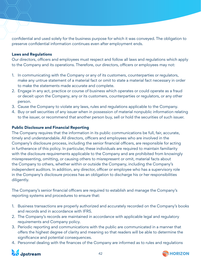confidential and used solely for the business purpose for which it was conveyed. The obligation to preserve confidential information continues even after employment ends.

#### **Laws and Regulations**

Our directors, officers and employees must respect and follow all laws and regulations which apply to the Company and its operations. Therefore, our directors, officers or employees may not:

- 1. In communicating with the Company or any of its customers, counterparties or regulators, make any untrue statement of a material fact or omit to state a material fact necessary in order to make the statements made accurate and complete.
- 2. Engage in any act, practice or course of business which operates or could operate as a fraud or deceit upon the Company, any or its customers, counterparties or regulators, or any other person.
- 3. Cause the Company to violate any laws, rules and regulations applicable to the Company.
- 4. Buy or sell securities of any issuer when in possession of material nonpublic information relating to the issuer, or recommend that another person buy, sell or hold the securities of such issuer.

#### **Public Disclosure and Financial Reporting**

The Company requires that the information in its public communications be full, fair, accurate, timely and understandable. All directors, officers and employees who are involved in the Company's disclosure process, including the senior financial officers, are responsible for acting in furtherance of this policy. In particular, these individuals are required to maintain familiarity with the disclosure requirements applicable to the Company and are prohibited from knowingly misrepresenting, omitting, or causing others to misrepresent or omit, material facts about the Company to others, whether within or outside the Company, including the Company's independent auditors. In addition, any director, officer or employee who has a supervisory role in the Company's disclosure process has an obligation to discharge his or her responsibilities diligently.

The Company's senior financial officers are required to establish and manage the Company's reporting systems and procedures to ensure that:

- 1. Business transactions are properly authorized and accurately recorded on the Company's books and records and in accordance with IFRS.
- 2. The Company's records are maintained in accordance with applicable legal and regulatory requirements and Company policy.
- 3. Periodic reporting and communications with the public are communicated in a manner that offers the highest degree of clarity and meaning so that readers will be able to determine the significance and potential consequences.
- 4. Personnel dealing with the finances of the Company are informed as to rules and regulations



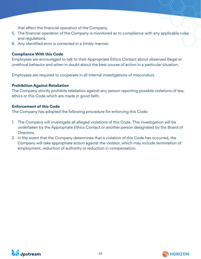that affect the financial operation of the Company.

- 5. The financial operation of the Company is monitored as to compliance with any applicable rules and regulations.
- 6. Any identified error is corrected in a timely manner.

#### **Compliance With this Code**

Employees are encouraged to talk to their Appropriate Ethics Contact about observed illegal or unethical behavior and when in doubt about the best course of action in a particular situation.

Employees are required to cooperate in all internal investigations of misconduct.

#### **Prohibition Against Retaliation**

The Company strictly prohibits retaliation against any person reporting possible violations of law, ethics or this Code which are made in good faith.

#### **Enforcement of this Code**

The Company has adopted the following procedure for enforcing this Code:

- 1. The Company will investigate all alleged violations of this Code. This investigation will be undertaken by the Appropriate Ethics Contact or another person designated by the Board of Directors.
- 2. In the event that the Company determines that a violation of this Code has occurred, the Company will take appropriate action against the violator, which may include termination of employment, reduction of authority or reduction in compensation.



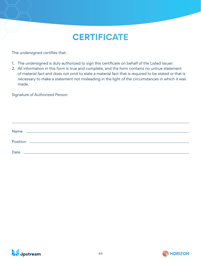# **CERTIFICATE**

The undersigned certifies that:

- 1. The undersigned is duly authorized to sign this certificate on behalf of the Listed Issuer:
- 2. All information in this form is true and complete, and the form contains no untrue statement of material fact and does not omit to state a material fact that is required to be stated or that is necessary to make a statement not misleading in the light of the circumstances in which it was made.

Signature of Authorized Person

| <b>Name</b> | <u> 1989 - Johann Stein, mars an de Francisco Communication (f. 1989)</u> |  |  |
|-------------|---------------------------------------------------------------------------|--|--|
|             |                                                                           |  |  |
|             |                                                                           |  |  |
| Date        |                                                                           |  |  |



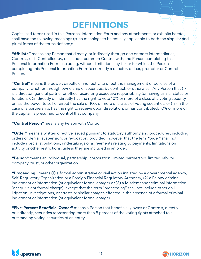# **DEFINITIONS**

Capitalized terms used in this Personal Information Form and any attachments or exhibits hereto shall have the following meanings (such meanings to be equally applicable to both the singular and plural forms of the terms defined):

**"Affiliate"** means any Person that directly, or indirectly through one or more intermediaries, Controls, or is Controlled by, or is under common Control with, the Person completing this Personal Information Form, including, without limitation, any issuer for which the Person completing this Personal Information Form is currently a director, officer, promoter or Control Person.

**"Control"** means the power, directly or indirectly, to direct the management or policies of a company, whether through ownership of securities, by contract, or otherwise. Any Person that (i) is a director, general partner or officer exercising executive responsibility (or having similar status or functions); (ii) directly or indirectly has the right to vote 10% or more of a class of a voting security or has the power to sell or direct the sale of 10% or more of a class of voting securities; or (iii) in the case of a partnership, has the right to receive upon dissolution, or has contributed, 10% or more of the capital, is presumed to control that company.

**"Control Person"** means any Person with Control.

**"Order"** means a written directive issued pursuant to statutory authority and procedures, including orders of denial, suspension, or revocation; provided, however that the term "order" shall not include special stipulations, undertakings or agreements relating to payments, limitations on activity or other restrictions, unless they are included in an order.

**"Person"** means an individual, partnership, corporation, limited partnership, limited liability company, trust, or other organization.

**"Proceeding"** means (1) a formal administrative or civil action initiated by a governmental agency, Self-Regulatory Organization or a Foreign Financial Regulatory Authority, (2) a Felony criminal indictment or information (or equivalent formal charge) or (3) a Misdemeanor criminal information (or equivalent formal charge); except that the term "proceeding" shall not include other civil litigation, investigations, or arrests or similar charges effected in the absence of a formal criminal indictment or information (or equivalent formal charge).

**"Five-Percent Beneficial Owner"** means a Person that beneficially owns or Controls, directly or indirectly, securities representing more than 5 percent of the voting rights attached to all outstanding voting securities of an entity.